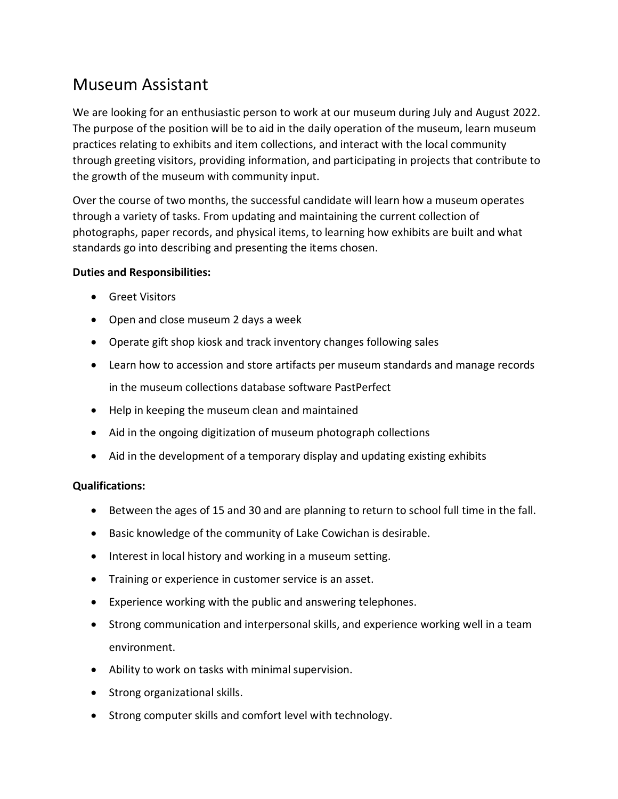## Museum Assistant

We are looking for an enthusiastic person to work at our museum during July and August 2022. The purpose of the position will be to aid in the daily operation of the museum, learn museum practices relating to exhibits and item collections, and interact with the local community through greeting visitors, providing information, and participating in projects that contribute to the growth of the museum with community input.

Over the course of two months, the successful candidate will learn how a museum operates through a variety of tasks. From updating and maintaining the current collection of photographs, paper records, and physical items, to learning how exhibits are built and what standards go into describing and presenting the items chosen.

## **Duties and Responsibilities:**

- **•** Greet Visitors
- Open and close museum 2 days a week
- Operate gift shop kiosk and track inventory changes following sales
- Learn how to accession and store artifacts per museum standards and manage records in the museum collections database software PastPerfect
- Help in keeping the museum clean and maintained
- Aid in the ongoing digitization of museum photograph collections
- Aid in the development of a temporary display and updating existing exhibits

## **Qualifications:**

- Between the ages of 15 and 30 and are planning to return to school full time in the fall.
- Basic knowledge of the community of Lake Cowichan is desirable.
- Interest in local history and working in a museum setting.
- Training or experience in customer service is an asset.
- Experience working with the public and answering telephones.
- Strong communication and interpersonal skills, and experience working well in a team environment.
- Ability to work on tasks with minimal supervision.
- Strong organizational skills.
- Strong computer skills and comfort level with technology.